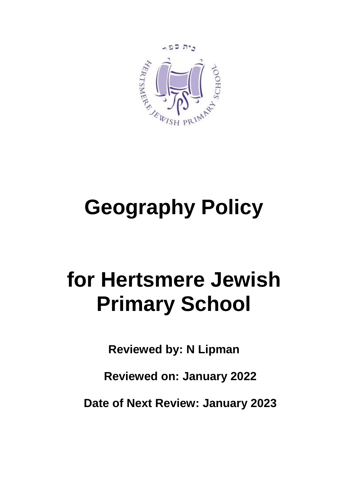

# **Geography Policy**

## **for Hertsmere Jewish Primary School**

**Reviewed by: N Lipman**

**Reviewed on: January 2022**

**Date of Next Review: January 2023**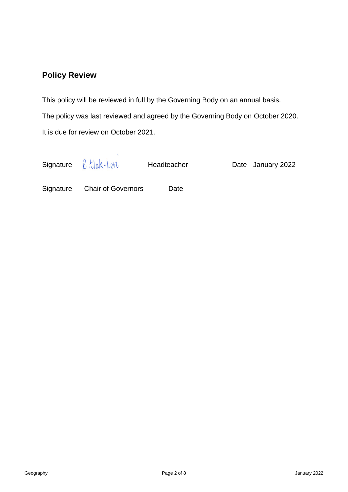### **Policy Review**

This policy will be reviewed in full by the Governing Body on an annual basis.

The policy was last reviewed and agreed by the Governing Body on October 2020. It is due for review on October 2021.

Signature  $\ell$ ,  $k$  ak-  $k$ e $N$  Headteacher Date January 2022

Signature Chair of Governors Date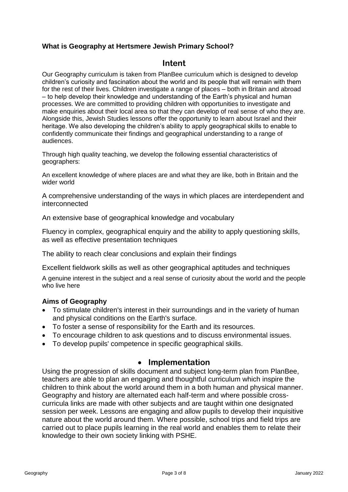#### **What is Geography at Hertsmere Jewish Primary School?**

#### **Intent**

Our Geography curriculum is taken from PlanBee curriculum which is designed to develop children's curiosity and fascination about the world and its people that will remain with them for the rest of their lives. Children investigate a range of places – both in Britain and abroad – to help develop their knowledge and understanding of the Earth's physical and human processes. We are committed to providing children with opportunities to investigate and make enquiries about their local area so that they can develop of real sense of who they are. Alongside this, Jewish Studies lessons offer the opportunity to learn about Israel and their heritage. We also developing the children's ability to apply geographical skills to enable to confidently communicate their findings and geographical understanding to a range of audiences.

Through high quality teaching, we develop the following essential characteristics of geographers:

An excellent knowledge of where places are and what they are like, both in Britain and the wider world

A comprehensive understanding of the ways in which places are interdependent and interconnected

An extensive base of geographical knowledge and vocabulary

Fluency in complex, geographical enquiry and the ability to apply questioning skills, as well as effective presentation techniques

The ability to reach clear conclusions and explain their findings

Excellent fieldwork skills as well as other geographical aptitudes and techniques

A genuine interest in the subject and a real sense of curiosity about the world and the people who live here

#### **Aims of Geography**

- To stimulate children's interest in their surroundings and in the variety of human and physical conditions on the Earth's surface.
- To foster a sense of responsibility for the Earth and its resources.
- To encourage children to ask questions and to discuss environmental issues.
- To develop pupils' competence in specific geographical skills.

#### • **Implementation**

Using the progression of skills document and subject long-term plan from PlanBee, teachers are able to plan an engaging and thoughtful curriculum which inspire the children to think about the world around them in a both human and physical manner. Geography and history are alternated each half-term and where possible crosscurricula links are made with other subjects and are taught within one designated session per week. Lessons are engaging and allow pupils to develop their inquisitive nature about the world around them. Where possible, school trips and field trips are carried out to place pupils learning in the real world and enables them to relate their knowledge to their own society linking with PSHE.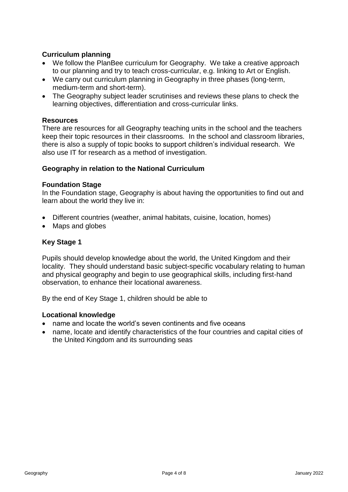#### **Curriculum planning**

- We follow the PlanBee curriculum for Geography. We take a creative approach to our planning and try to teach cross-curricular, e.g. linking to Art or English.
- We carry out curriculum planning in Geography in three phases (long-term, medium-term and short-term).
- The Geography subject leader scrutinises and reviews these plans to check the learning objectives, differentiation and cross-curricular links.

#### **Resources**

There are resources for all Geography teaching units in the school and the teachers keep their topic resources in their classrooms. In the school and classroom libraries, there is also a supply of topic books to support children's individual research. We also use IT for research as a method of investigation.

#### **Geography in relation to the National Curriculum**

#### **Foundation Stage**

In the Foundation stage, Geography is about having the opportunities to find out and learn about the world they live in:

- Different countries (weather, animal habitats, cuisine, location, homes)
- Maps and globes

#### **Key Stage 1**

Pupils should develop knowledge about the world, the United Kingdom and their locality. They should understand basic subject-specific vocabulary relating to human and physical geography and begin to use geographical skills, including first-hand observation, to enhance their locational awareness.

By the end of Key Stage 1, children should be able to

#### **Locational knowledge**

- name and locate the world's seven continents and five oceans
- name, locate and identify characteristics of the four countries and capital cities of the United Kingdom and its surrounding seas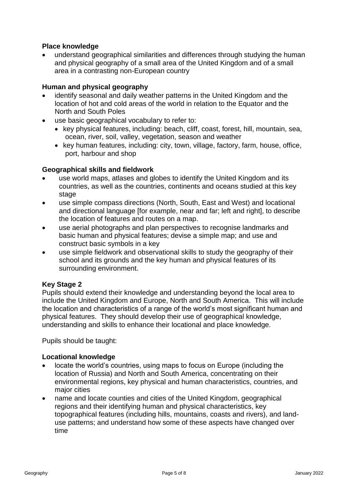#### **Place knowledge**

• understand geographical similarities and differences through studying the human and physical geography of a small area of the United Kingdom and of a small area in a contrasting non-European country

#### **Human and physical geography**

- identify seasonal and daily weather patterns in the United Kingdom and the location of hot and cold areas of the world in relation to the Equator and the North and South Poles
- use basic geographical vocabulary to refer to:
	- key physical features, including: beach, cliff, coast, forest, hill, mountain, sea, ocean, river, soil, valley, vegetation, season and weather
	- key human features, including: city, town, village, factory, farm, house, office, port, harbour and shop

#### **Geographical skills and fieldwork**

- use world maps, atlases and globes to identify the United Kingdom and its countries, as well as the countries, continents and oceans studied at this key stage
- use simple compass directions (North, South, East and West) and locational and directional language [for example, near and far; left and right], to describe the location of features and routes on a map.
- use aerial photographs and plan perspectives to recognise landmarks and basic human and physical features; devise a simple map; and use and construct basic symbols in a key
- use simple fieldwork and observational skills to study the geography of their school and its grounds and the key human and physical features of its surrounding environment.

#### **Key Stage 2**

Pupils should extend their knowledge and understanding beyond the local area to include the United Kingdom and Europe, North and South America. This will include the location and characteristics of a range of the world's most significant human and physical features. They should develop their use of geographical knowledge, understanding and skills to enhance their locational and place knowledge.

Pupils should be taught:

#### **Locational knowledge**

- locate the world's countries, using maps to focus on Europe (including the location of Russia) and North and South America, concentrating on their environmental regions, key physical and human characteristics, countries, and major cities
- name and locate counties and cities of the United Kingdom, geographical regions and their identifying human and physical characteristics, key topographical features (including hills, mountains, coasts and rivers), and landuse patterns; and understand how some of these aspects have changed over time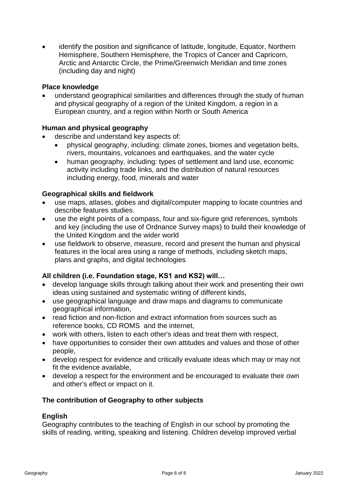• identify the position and significance of latitude, longitude, Equator, Northern Hemisphere, Southern Hemisphere, the Tropics of Cancer and Capricorn, Arctic and Antarctic Circle, the Prime/Greenwich Meridian and time zones (including day and night)

#### **Place knowledge**

• understand geographical similarities and differences through the study of human and physical geography of a region of the United Kingdom, a region in a European country, and a region within North or South America

#### **Human and physical geography**

- describe and understand key aspects of:
	- physical geography, including: climate zones, biomes and vegetation belts, rivers, mountains, volcanoes and earthquakes, and the water cycle
	- human geography, including: types of settlement and land use, economic activity including trade links, and the distribution of natural resources including energy, food, minerals and water

#### **Geographical skills and fieldwork**

- use maps, atlases, globes and digital/computer mapping to locate countries and describe features studies.
- use the eight points of a compass, four and six-figure grid references, symbols and key (including the use of Ordnance Survey maps) to build their knowledge of the United Kingdom and the wider world
- use fieldwork to observe, measure, record and present the human and physical features in the local area using a range of methods, including sketch maps, plans and graphs, and digital technologies

#### **All children (i.e. Foundation stage, KS1 and KS2) will…**

- develop language skills through talking about their work and presenting their own ideas using sustained and systematic writing of different kinds,
- use geographical language and draw maps and diagrams to communicate geographical information,
- read fiction and non-fiction and extract information from sources such as reference books, CD ROMS and the internet,
- work with others, listen to each other's ideas and treat them with respect,
- have opportunities to consider their own attitudes and values and those of other people,
- develop respect for evidence and critically evaluate ideas which may or may not fit the evidence available,
- develop a respect for the environment and be encouraged to evaluate their own and other's effect or impact on it.

#### **The contribution of Geography to other subjects**

#### **English**

Geography contributes to the teaching of English in our school by promoting the skills of reading, writing, speaking and listening. Children develop improved verbal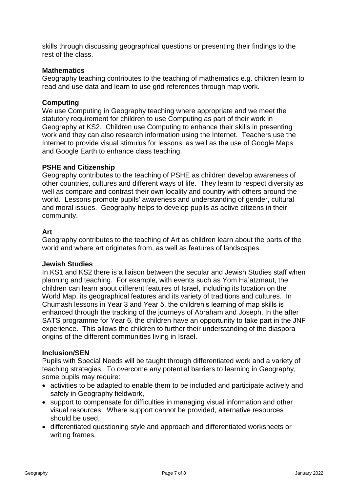skills through discussing geographical questions or presenting their findings to the rest of the class.

#### **Mathematics**

Geography teaching contributes to the teaching of mathematics e.g. children learn to read and use data and learn to use grid references through map work.

#### **Computing**

We use Computing in Geography teaching where appropriate and we meet the statutory requirement for children to use Computing as part of their work in Geography at KS2. Children use Computing to enhance their skills in presenting work and they can also research information using the Internet. Teachers use the Internet to provide visual stimulus for lessons, as well as the use of Google Maps and Google Earth to enhance class teaching.

#### **PSHE and Citizenship**

Geography contributes to the teaching of PSHE as children develop awareness of other countries, cultures and different ways of life. They learn to respect diversity as well as compare and contrast their own locality and country with others around the world. Lessons promote pupils' awareness and understanding of gender, cultural and moral issues. Geography helps to develop pupils as active citizens in their community.

#### **Art**

Geography contributes to the teaching of Art as children learn about the parts of the world and where art originates from, as well as features of landscapes.

#### **Jewish Studies**

In KS1 and KS2 there is a liaison between the secular and Jewish Studies staff when planning and teaching. For example, with events such as Yom Ha'atzmaut, the children can learn about different features of Israel, including its location on the World Map, its geographical features and its variety of traditions and cultures. In Chumash lessons in Year 3 and Year 5, the children's learning of map skills is enhanced through the tracking of the journeys of Abraham and Joseph. In the after SATS programme for Year 6, the children have an opportunity to take part in the JNF experience. This allows the children to further their understanding of the diaspora origins of the different communities living in Israel.

#### **Inclusion/SEN**

Pupils with Special Needs will be taught through differentiated work and a variety of teaching strategies. To overcome any potential barriers to learning in Geography, some pupils may require:

- activities to be adapted to enable them to be included and participate actively and safely in Geography fieldwork,
- support to compensate for difficulties in managing visual information and other visual resources. Where support cannot be provided, alternative resources should be used,
- differentiated questioning style and approach and differentiated worksheets or writing frames.